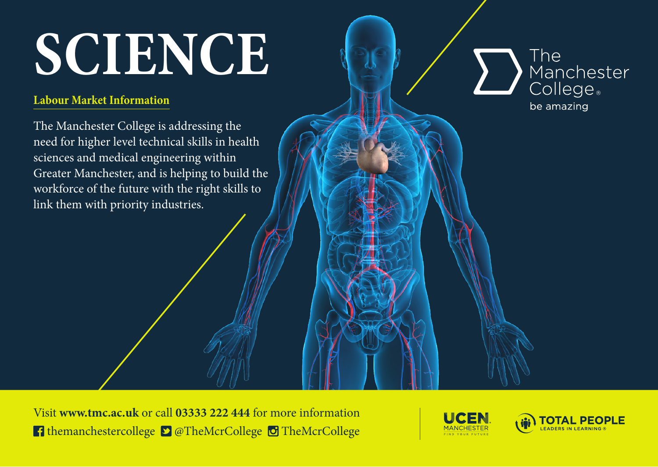# **SCIENCE**

### **Labour Market Information**

The Manchester College is addressing the need for higher level technical skills in health sciences and medical engineering within Greater Manchester, and is helping to build the workforce of the future with the right skills to link them with priority industries.

The Manchester<br>College be amazing

Visit **www.tmc.ac.uk** or call **03333 222 444** for more information **f** themanchestercollege  $\bullet$   $\bullet$  TheMcrCollege  $\bullet$  TheMcrCollege